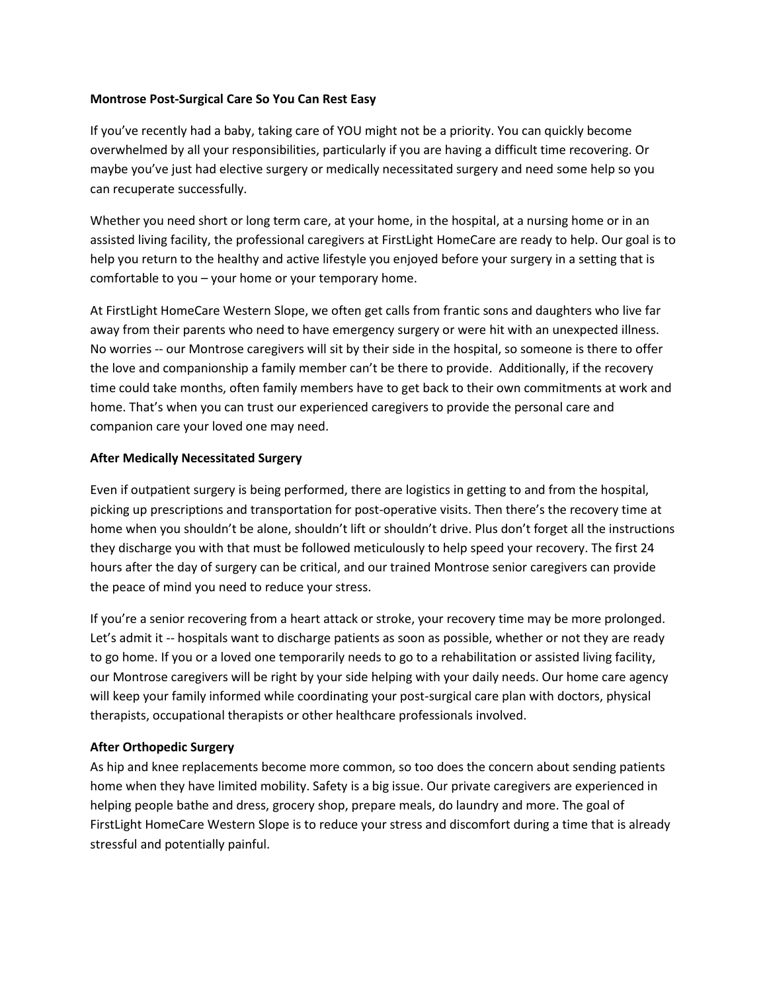## **Montrose Post-Surgical Care So You Can Rest Easy**

If you've recently had a baby, taking care of YOU might not be a priority. You can quickly become overwhelmed by all your responsibilities, particularly if you are having a difficult time recovering. Or maybe you've just had elective surgery or medically necessitated surgery and need some help so you can recuperate successfully.

Whether you need short or long term care, at your home, in the hospital, at a nursing home or in an assisted living facility, the professional caregivers at FirstLight HomeCare are ready to help. Our goal is to help you return to the healthy and active lifestyle you enjoyed before your surgery in a setting that is comfortable to you – your home or your temporary home.

At FirstLight HomeCare Western Slope, we often get calls from frantic sons and daughters who live far away from their parents who need to have emergency surgery or were hit with an unexpected illness. No worries -- our Montrose caregivers will sit by their side in the hospital, so someone is there to offer the love and companionship a family member can't be there to provide. Additionally, if the recovery time could take months, often family members have to get back to their own commitments at work and home. That's when you can trust our experienced caregivers to provide the personal care and companion care your loved one may need.

# **After Medically Necessitated Surgery**

Even if outpatient surgery is being performed, there are logistics in getting to and from the hospital, picking up prescriptions and transportation for post-operative visits. Then there's the recovery time at home when you shouldn't be alone, shouldn't lift or shouldn't drive. Plus don't forget all the instructions they discharge you with that must be followed meticulously to help speed your recovery. The first 24 hours after the day of surgery can be critical, and our trained Montrose senior caregivers can provide the peace of mind you need to reduce your stress.

If you're a senior recovering from a heart attack or stroke, your recovery time may be more prolonged. Let's admit it -- hospitals want to discharge patients as soon as possible, whether or not they are ready to go home. If you or a loved one temporarily needs to go to a rehabilitation or assisted living facility, our Montrose caregivers will be right by your side helping with your daily needs. Our home care agency will keep your family informed while coordinating your post-surgical care plan with doctors, physical therapists, occupational therapists or other healthcare professionals involved.

## **After Orthopedic Surgery**

As hip and knee replacements become more common, so too does the concern about sending patients home when they have limited mobility. Safety is a big issue. Our private caregivers are experienced in helping people bathe and dress, grocery shop, prepare meals, do laundry and more. The goal of FirstLight HomeCare Western Slope is to reduce your stress and discomfort during a time that is already stressful and potentially painful.